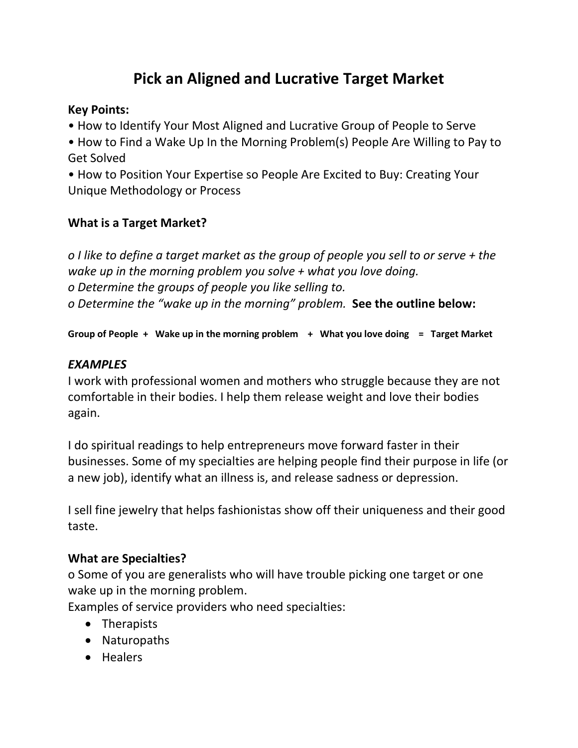# **Pick an Aligned and Lucrative Target Market**

### **Key Points:**

- How to Identify Your Most Aligned and Lucrative Group of People to Serve
- How to Find a Wake Up In the Morning Problem(s) People Are Willing to Pay to Get Solved
- How to Position Your Expertise so People Are Excited to Buy: Creating Your Unique Methodology or Process

# **What is a Target Market?**

*o I like to define a target market as the group of people you sell to or serve + the wake up in the morning problem you solve + what you love doing. o Determine the groups of people you like selling to. o Determine the "wake up in the morning" problem.* **See the outline below:**

**Group of People + Wake up in the morning problem + What you love doing = Target Market**

# *EXAMPLES*

I work with professional women and mothers who struggle because they are not comfortable in their bodies. I help them release weight and love their bodies again.

I do spiritual readings to help entrepreneurs move forward faster in their businesses. Some of my specialties are helping people find their purpose in life (or a new job), identify what an illness is, and release sadness or depression.

I sell fine jewelry that helps fashionistas show off their uniqueness and their good taste.

#### **What are Specialties?**

o Some of you are generalists who will have trouble picking one target or one wake up in the morning problem.

Examples of service providers who need specialties:

- Therapists
- Naturopaths
- Healers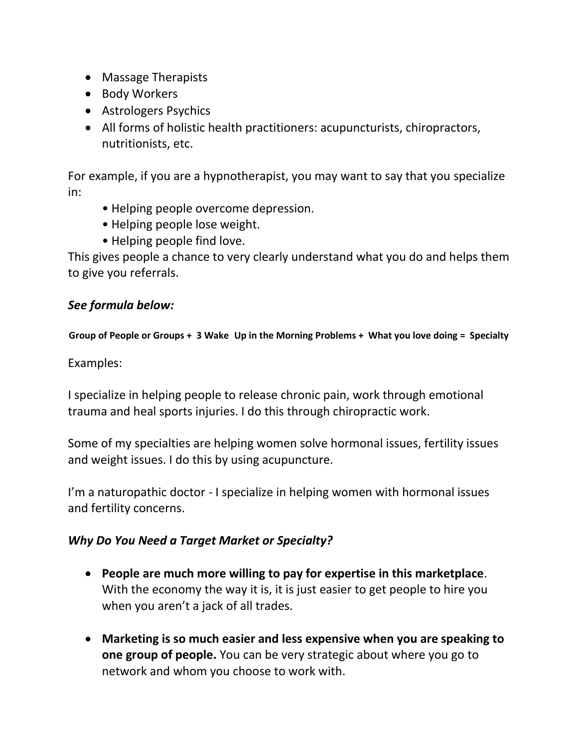- Massage Therapists
- Body Workers
- Astrologers Psychics
- All forms of holistic health practitioners: acupuncturists, chiropractors, nutritionists, etc.

For example, if you are a hypnotherapist, you may want to say that you specialize in:

- Helping people overcome depression.
- Helping people lose weight.
- Helping people find love.

This gives people a chance to very clearly understand what you do and helps them to give you referrals.

# *See formula below:*

**Group of People or Groups + 3 Wake Up in the Morning Problems + What you love doing = Specialty**

Examples:

I specialize in helping people to release chronic pain, work through emotional trauma and heal sports injuries. I do this through chiropractic work.

Some of my specialties are helping women solve hormonal issues, fertility issues and weight issues. I do this by using acupuncture.

I'm a naturopathic doctor - I specialize in helping women with hormonal issues and fertility concerns.

#### *Why Do You Need a Target Market or Specialty?*

- **People are much more willing to pay for expertise in this marketplace**. With the economy the way it is, it is just easier to get people to hire you when you aren't a jack of all trades.
- **Marketing is so much easier and less expensive when you are speaking to one group of people.** You can be very strategic about where you go to network and whom you choose to work with.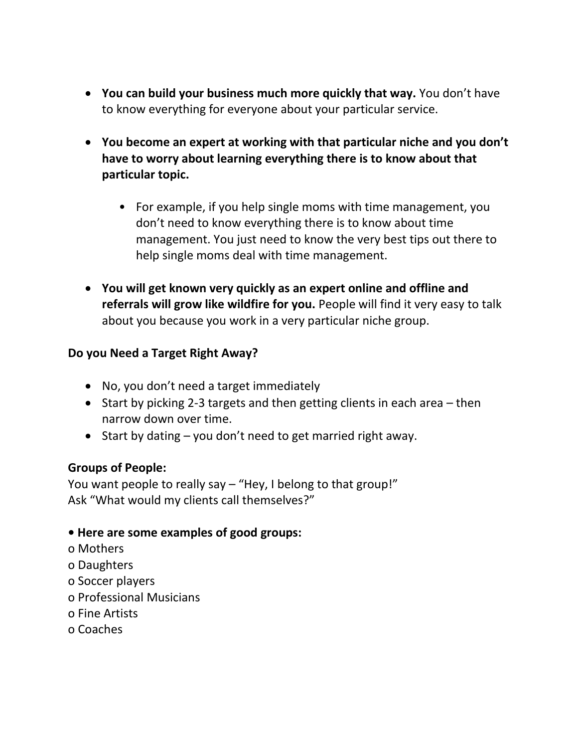- **You can build your business much more quickly that way.** You don't have to know everything for everyone about your particular service.
- **You become an expert at working with that particular niche and you don't have to worry about learning everything there is to know about that particular topic.**
	- For example, if you help single moms with time management, you don't need to know everything there is to know about time management. You just need to know the very best tips out there to help single moms deal with time management.
- **You will get known very quickly as an expert online and offline and referrals will grow like wildfire for you.** People will find it very easy to talk about you because you work in a very particular niche group.

# **Do you Need a Target Right Away?**

- No, you don't need a target immediately
- Start by picking 2-3 targets and then getting clients in each area then narrow down over time.
- Start by dating you don't need to get married right away.

#### **Groups of People:**

You want people to really say – "Hey, I belong to that group!" Ask "What would my clients call themselves?"

#### **• Here are some examples of good groups:**

- o Mothers
- o Daughters
- o Soccer players
- o Professional Musicians
- o Fine Artists
- o Coaches